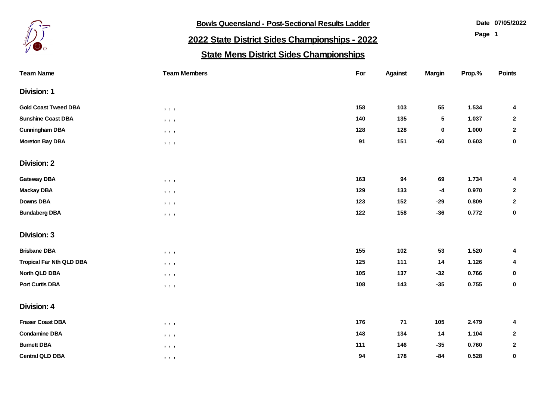

**Bowls Queensland - Post-Sectional Results Ladder** 

**07/05/2022**

**Page 1**

## **2022 State District Sides Championships - 2022**

## **State Mens District Sides Championships**

| <b>Team Name</b>                | <b>Team Members</b>                                                                        | For | <b>Against</b> | <b>Margin</b> | Prop.% | Points       |
|---------------------------------|--------------------------------------------------------------------------------------------|-----|----------------|---------------|--------|--------------|
| <b>Division: 1</b>              |                                                                                            |     |                |               |        |              |
| <b>Gold Coast Tweed DBA</b>     | $\begin{array}{ccc} \bullet & \bullet & \bullet \end{array}$                               | 158 | 103            | 55            | 1.534  | 4            |
| <b>Sunshine Coast DBA</b>       | $\qquad \qquad \bullet \qquad \bullet$                                                     | 140 | 135            | $\mathbf{5}$  | 1.037  | $\mathbf{2}$ |
| <b>Cunningham DBA</b>           | $\begin{array}{ccccccccccccc} \bullet & \bullet & \bullet & \bullet & \bullet \end{array}$ | 128 | 128            | $\bf{0}$      | 1.000  | $\mathbf{2}$ |
| <b>Moreton Bay DBA</b>          | $\qquad \qquad \bullet \qquad \bullet$                                                     | 91  | 151            | $-60$         | 0.603  | $\mathbf 0$  |
| <b>Division: 2</b>              |                                                                                            |     |                |               |        |              |
| <b>Gateway DBA</b>              | $\qquad \qquad \bullet \qquad \bullet$                                                     | 163 | 94             | 69            | 1.734  | 4            |
| <b>Mackay DBA</b>               | $\begin{array}{ccc} \bullet & \bullet & \bullet \end{array}$                               | 129 | 133            | $-4$          | 0.970  | $\mathbf{2}$ |
| <b>Downs DBA</b>                | $\begin{array}{ccccccccccccc} \bullet & \bullet & \bullet & \bullet & \bullet \end{array}$ | 123 | 152            | $-29$         | 0.809  | $\mathbf{2}$ |
| <b>Bundaberg DBA</b>            | $\begin{array}{ccc} \bullet & \bullet & \bullet \end{array}$                               | 122 | 158            | $-36$         | 0.772  | $\mathbf 0$  |
| <b>Division: 3</b>              |                                                                                            |     |                |               |        |              |
| <b>Brisbane DBA</b>             | $\,$ , $\,$ , $\,$ ,                                                                       | 155 | 102            | 53            | 1.520  | 4            |
| <b>Tropical Far Nth QLD DBA</b> | $, \quad , \quad ,$                                                                        | 125 | 111            | 14            | 1.126  | 4            |
| North QLD DBA                   | $\qquad \qquad \bullet \qquad \bullet$                                                     | 105 | 137            | $-32$         | 0.766  | $\mathbf 0$  |
| <b>Port Curtis DBA</b>          | $, \quad , \quad ,$                                                                        | 108 | 143            | $-35$         | 0.755  | $\bf{0}$     |
| <b>Division: 4</b>              |                                                                                            |     |                |               |        |              |
| <b>Fraser Coast DBA</b>         | $, \quad , \quad ,$                                                                        | 176 | 71             | 105           | 2.479  | 4            |
| <b>Condamine DBA</b>            | $, \quad , \quad ,$                                                                        | 148 | 134            | 14            | 1.104  | $\mathbf{2}$ |
| <b>Burnett DBA</b>              | $, \quad , \quad ,$                                                                        | 111 | 146            | $-35$         | 0.760  | $\mathbf{2}$ |
| <b>Central QLD DBA</b>          | $\begin{array}{ccccccccccccc} \bullet & \bullet & \bullet & \bullet & \bullet \end{array}$ | 94  | 178            | $-84$         | 0.528  | $\pmb{0}$    |